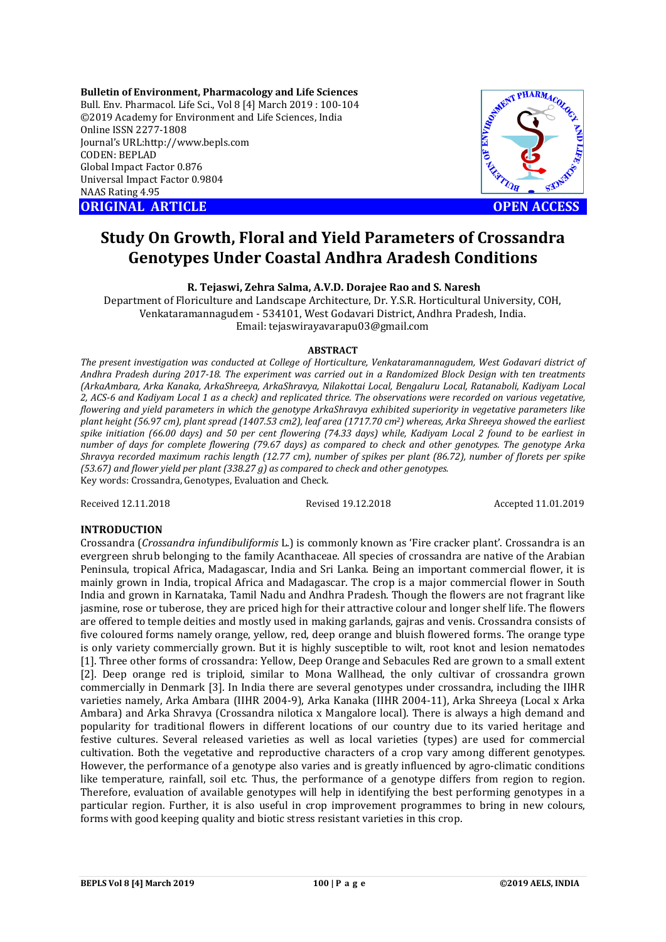**Bulletin of Environment, Pharmacology and Life Sciences** Bull. Env. Pharmacol. Life Sci., Vol 8 [4] March 2019 : 100-104 ©2019 Academy for Environment and Life Sciences, India Online ISSN 2277-1808 Journal's URL:http://www.bepls.com CODEN: BEPLAD Global Impact Factor 0.876 Universal Impact Factor 0.9804 NAAS Rating 4.95 **ORIGINAL ARTICLE OPEN ACCESS** 





# **Study On Growth, Floral and Yield Parameters of Crossandra Genotypes Under Coastal Andhra Aradesh Conditions**

**R. Tejaswi, Zehra Salma, A.V.D. Dorajee Rao and S. Naresh**

Department of Floriculture and Landscape Architecture, Dr. Y.S.R. Horticultural University, COH, Venkataramannagudem - 534101, West Godavari District, Andhra Pradesh, India. Email: tejaswirayavarapu03@gmail.com

#### **ABSTRACT**

*The present investigation was conducted at College of Horticulture, Venkataramannagudem, West Godavari district of Andhra Pradesh during 2017-18. The experiment was carried out in a Randomized Block Design with ten treatments (ArkaAmbara, Arka Kanaka, ArkaShreeya, ArkaShravya, Nilakottai Local, Bengaluru Local, Ratanaboli, Kadiyam Local 2, ACS-6 and Kadiyam Local 1 as a check) and replicated thrice. The observations were recorded on various vegetative, flowering and yield parameters in which the genotype ArkaShravya exhibited superiority in vegetative parameters like plant height (56.97 cm), plant spread (1407.53 cm2), leaf area (1717.70 cm2) whereas, Arka Shreeya showed the earliest spike initiation (66.00 days) and 50 per cent flowering (74.33 days) while, Kadiyam Local 2 found to be earliest in number of days for complete flowering (79.67 days) as compared to check and other genotypes. The genotype Arka Shravya recorded maximum rachis length (12.77 cm), number of spikes per plant (86.72), number of florets per spike (53.67) and flower yield per plant (338.27 g) as compared to check and other genotypes.* Key words: Crossandra, Genotypes, Evaluation and Check.

Received 12.11.2018 Revised 19.12.2018 Accepted 11.01.2019

#### **INTRODUCTION**

Crossandra (*Crossandra infundibuliformis* L.) is commonly known as 'Fire cracker plant'. Crossandra is an evergreen shrub belonging to the family Acanthaceae. All species of crossandra are native of the Arabian Peninsula, tropical Africa, Madagascar, India and Sri Lanka. Being an important commercial flower, it is mainly grown in India, tropical Africa and Madagascar. The crop is a major commercial flower in South India and grown in Karnataka, Tamil Nadu and Andhra Pradesh. Though the flowers are not fragrant like jasmine, rose or tuberose, they are priced high for their attractive colour and longer shelf life. The flowers are offered to temple deities and mostly used in making garlands, gajras and venis. Crossandra consists of five coloured forms namely orange, yellow, red, deep orange and bluish flowered forms. The orange type is only variety commercially grown. But it is highly susceptible to wilt, root knot and lesion nematodes [1]. Three other forms of crossandra: Yellow, Deep Orange and Sebacules Red are grown to a small extent [2]. Deep orange red is triploid, similar to Mona Wallhead, the only cultivar of crossandra grown commercially in Denmark [3]. In India there are several genotypes under crossandra, including the IIHR varieties namely, Arka Ambara (IIHR 2004-9), Arka Kanaka (IIHR 2004-11), Arka Shreeya (Local x Arka Ambara) and Arka Shravya (Crossandra nilotica x Mangalore local). There is always a high demand and popularity for traditional flowers in different locations of our country due to its varied heritage and festive cultures. Several released varieties as well as local varieties (types) are used for commercial cultivation. Both the vegetative and reproductive characters of a crop vary among different genotypes. However, the performance of a genotype also varies and is greatly influenced by agro-climatic conditions like temperature, rainfall, soil etc. Thus, the performance of a genotype differs from region to region. Therefore, evaluation of available genotypes will help in identifying the best performing genotypes in a particular region. Further, it is also useful in crop improvement programmes to bring in new colours, forms with good keeping quality and biotic stress resistant varieties in this crop.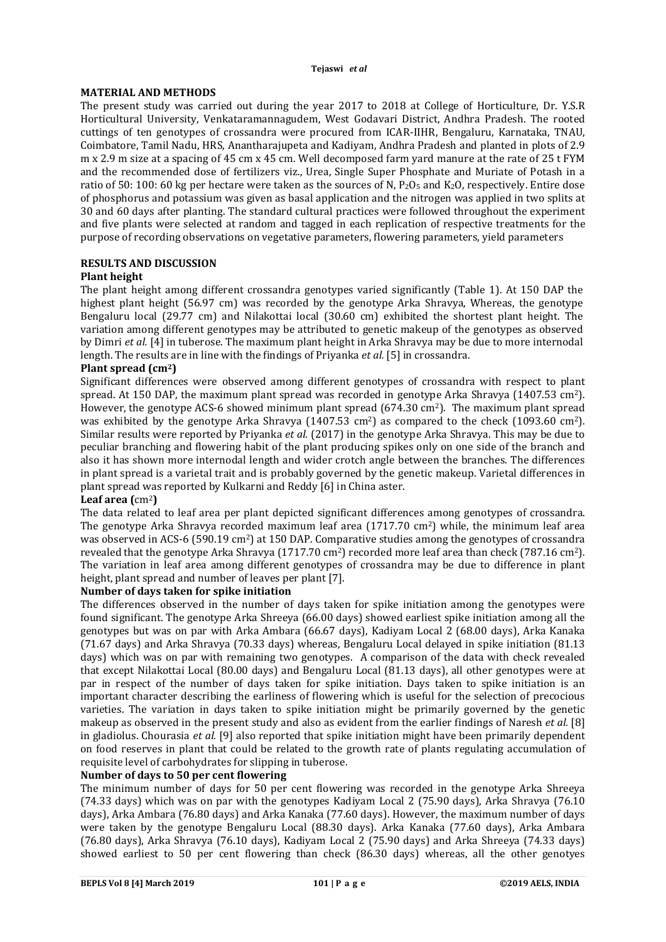# **MATERIAL AND METHODS**

The present study was carried out during the year 2017 to 2018 at College of Horticulture, Dr. Y.S.R Horticultural University, Venkataramannagudem, West Godavari District, Andhra Pradesh. The rooted cuttings of ten genotypes of crossandra were procured from ICAR-IIHR, Bengaluru, Karnataka, TNAU, Coimbatore, Tamil Nadu, HRS, Anantharajupeta and Kadiyam, Andhra Pradesh and planted in plots of 2.9 m x 2.9 m size at a spacing of 45 cm x 45 cm. Well decomposed farm yard manure at the rate of 25 t FYM and the recommended dose of fertilizers viz., Urea, Single Super Phosphate and Muriate of Potash in a ratio of 50: 100: 60 kg per hectare were taken as the sources of N,  $P_2O_5$  and  $K_2O$ , respectively. Entire dose of phosphorus and potassium was given as basal application and the nitrogen was applied in two splits at 30 and 60 days after planting. The standard cultural practices were followed throughout the experiment and five plants were selected at random and tagged in each replication of respective treatments for the purpose of recording observations on vegetative parameters, flowering parameters, yield parameters

# **RESULTS AND DISCUSSION**

## **Plant height**

The plant height among different crossandra genotypes varied significantly (Table 1). At 150 DAP the highest plant height (56.97 cm) was recorded by the genotype Arka Shravya, Whereas, the genotype Bengaluru local (29.77 cm) and Nilakottai local (30.60 cm) exhibited the shortest plant height. The variation among different genotypes may be attributed to genetic makeup of the genotypes as observed by Dimri *et al.* [4] in tuberose. The maximum plant height in Arka Shravya may be due to more internodal length. The results are in line with the findings of Priyanka *et al.* [5] in crossandra.

## **Plant spread (cm2)**

Significant differences were observed among different genotypes of crossandra with respect to plant spread. At 150 DAP, the maximum plant spread was recorded in genotype Arka Shravya (1407.53 cm<sup>2</sup>). However, the genotype ACS-6 showed minimum plant spread  $(674.30 \text{ cm}^2)$ . The maximum plant spread was exhibited by the genotype Arka Shravya  $(1407.53 \text{ cm}^2)$  as compared to the check  $(1093.60 \text{ cm}^2)$ . Similar results were reported by Priyanka *et al.* (2017) in the genotype Arka Shravya. This may be due to peculiar branching and flowering habit of the plant producing spikes only on one side of the branch and also it has shown more internodal length and wider crotch angle between the branches. The differences in plant spread is a varietal trait and is probably governed by the genetic makeup. Varietal differences in plant spread was reported by Kulkarni and Reddy [6] in China aster.

#### **Leaf area (**cm2**)**

The data related to leaf area per plant depicted significant differences among genotypes of crossandra. The genotype Arka Shravya recorded maximum leaf area  $(1717.70 \text{ cm}^2)$  while, the minimum leaf area was observed in ACS-6 (590.19 cm<sup>2</sup>) at 150 DAP. Comparative studies among the genotypes of crossandra revealed that the genotype Arka Shravya (1717.70 cm<sup>2</sup>) recorded more leaf area than check (787.16 cm<sup>2</sup>). The variation in leaf area among different genotypes of crossandra may be due to difference in plant height, plant spread and number of leaves per plant [7].

#### **Number of days taken for spike initiation**

The differences observed in the number of days taken for spike initiation among the genotypes were found significant. The genotype Arka Shreeya (66.00 days) showed earliest spike initiation among all the genotypes but was on par with Arka Ambara (66.67 days), Kadiyam Local 2 (68.00 days), Arka Kanaka (71.67 days) and Arka Shravya (70.33 days) whereas, Bengaluru Local delayed in spike initiation (81.13 days) which was on par with remaining two genotypes. A comparison of the data with check revealed that except Nilakottai Local (80.00 days) and Bengaluru Local (81.13 days), all other genotypes were at par in respect of the number of days taken for spike initiation. Days taken to spike initiation is an important character describing the earliness of flowering which is useful for the selection of precocious varieties. The variation in days taken to spike initiation might be primarily governed by the genetic makeup as observed in the present study and also as evident from the earlier findings of Naresh *et al.* [8] in gladiolus. Chourasia *et al.* [9] also reported that spike initiation might have been primarily dependent on food reserves in plant that could be related to the growth rate of plants regulating accumulation of requisite level of carbohydrates for slipping in tuberose.

#### **Number of days to 50 per cent flowering**

The minimum number of days for 50 per cent flowering was recorded in the genotype Arka Shreeya (74.33 days) which was on par with the genotypes Kadiyam Local 2 (75.90 days), Arka Shravya (76.10 days), Arka Ambara (76.80 days) and Arka Kanaka (77.60 days). However, the maximum number of days were taken by the genotype Bengaluru Local (88.30 days). Arka Kanaka (77.60 days), Arka Ambara (76.80 days), Arka Shravya (76.10 days), Kadiyam Local 2 (75.90 days) and Arka Shreeya (74.33 days) showed earliest to 50 per cent flowering than check (86.30 days) whereas, all the other genotyes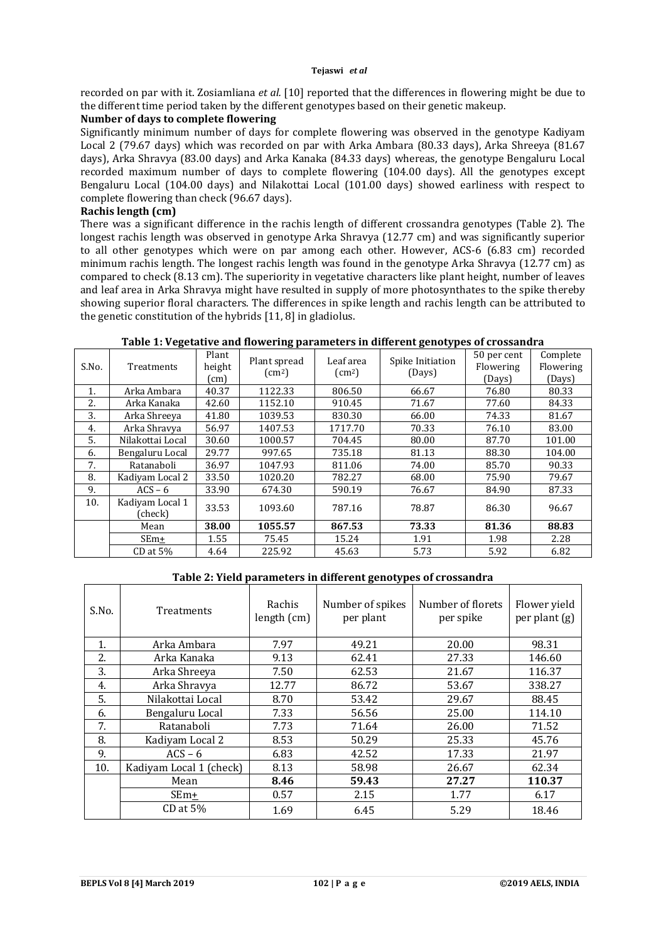recorded on par with it. Zosiamliana *et al.* [10] reported that the differences in flowering might be due to the different time period taken by the different genotypes based on their genetic makeup.

# **Number of days to complete flowering**

Significantly minimum number of days for complete flowering was observed in the genotype Kadiyam Local 2 (79.67 days) which was recorded on par with Arka Ambara (80.33 days), Arka Shreeya (81.67 days), Arka Shravya (83.00 days) and Arka Kanaka (84.33 days) whereas, the genotype Bengaluru Local recorded maximum number of days to complete flowering (104.00 days). All the genotypes except Bengaluru Local (104.00 days) and Nilakottai Local (101.00 days) showed earliness with respect to complete flowering than check (96.67 days).

## **Rachis length (cm)**

There was a significant difference in the rachis length of different crossandra genotypes (Table 2). The longest rachis length was observed in genotype Arka Shravya (12.77 cm) and was significantly superior to all other genotypes which were on par among each other. However, ACS-6 (6.83 cm) recorded minimum rachis length. The longest rachis length was found in the genotype Arka Shravya (12.77 cm) as compared to check (8.13 cm). The superiority in vegetative characters like plant height, number of leaves and leaf area in Arka Shravya might have resulted in supply of more photosynthates to the spike thereby showing superior floral characters. The differences in spike length and rachis length can be attributed to the genetic constitution of the hybrids [11, 8] in gladiolus.

## **Table 1: Vegetative and flowering parameters in different genotypes of crossandra**

| S.No. | Treatments                 | Plant<br>height<br>$\mathsf{cm}$ | Plant spread<br>$\text{cm}^2$ | Leaf area<br>$\text{cm}^2$ | Spike Initiation<br>(Days) | 50 per cent<br>Flowering<br>(Days) | Complete<br>Flowering<br>(Days) |
|-------|----------------------------|----------------------------------|-------------------------------|----------------------------|----------------------------|------------------------------------|---------------------------------|
| 1.    | Arka Ambara                | 40.37                            | 1122.33                       | 806.50                     | 66.67                      | 76.80                              | 80.33                           |
| 2.    | Arka Kanaka                | 42.60                            | 1152.10                       | 910.45                     | 71.67                      | 77.60                              | 84.33                           |
| 3.    | Arka Shreeva               | 41.80                            | 1039.53                       | 830.30                     | 66.00                      | 74.33                              | 81.67                           |
| 4.    | Arka Shravya               | 56.97                            | 1407.53                       | 1717.70                    | 70.33                      | 76.10                              | 83.00                           |
| 5.    | Nilakottai Local           | 30.60                            | 1000.57                       | 704.45                     | 80.00                      | 87.70                              | 101.00                          |
| 6.    | Bengaluru Local            | 29.77                            | 997.65                        | 735.18                     | 81.13                      | 88.30                              | 104.00                          |
| 7.    | Ratanaboli                 | 36.97                            | 1047.93                       | 811.06                     | 74.00                      | 85.70                              | 90.33                           |
| 8.    | Kadiyam Local 2            | 33.50                            | 1020.20                       | 782.27                     | 68.00                      | 75.90                              | 79.67                           |
| 9.    | $ACS - 6$                  | 33.90                            | 674.30                        | 590.19                     | 76.67                      | 84.90                              | 87.33                           |
| 10.   | Kadiyam Local 1<br>(check) | 33.53                            | 1093.60                       | 787.16                     | 78.87                      | 86.30                              | 96.67                           |
|       | Mean                       | 38.00                            | 1055.57                       | 867.53                     | 73.33                      | 81.36                              | 88.83                           |
|       | $SEm+$                     | 1.55                             | 75.45                         | 15.24                      | 1.91                       | 1.98                               | 2.28                            |
|       | $CD$ at $5\%$              | 4.64                             | 225.92                        | 45.63                      | 5.73                       | 5.92                               | 6.82                            |

#### **Table 2: Yield parameters in different genotypes of crossandra**

| S.No. | Treatments              | Rachis<br>length $(cm)$ | Number of spikes<br>per plant | Number of florets<br>per spike | Flower yield<br>per plant $(g)$ |
|-------|-------------------------|-------------------------|-------------------------------|--------------------------------|---------------------------------|
| 1.    | Arka Ambara             | 7.97                    | 49.21                         | 20.00                          | 98.31                           |
| 2.    | Arka Kanaka             | 9.13                    | 62.41                         | 27.33                          | 146.60                          |
| 3.    | Arka Shreeya            | 7.50                    | 62.53                         | 21.67                          | 116.37                          |
| 4.    | Arka Shravya            | 12.77                   | 86.72                         | 53.67                          | 338.27                          |
| 5.    | Nilakottai Local        | 8.70                    | 53.42                         | 29.67                          | 88.45                           |
| 6.    | Bengaluru Local         | 7.33                    | 56.56                         | 25.00                          | 114.10                          |
| 7.    | Ratanaboli              | 7.73                    | 71.64                         | 26.00                          | 71.52                           |
| 8.    | Kadiyam Local 2         | 8.53                    | 50.29                         | 25.33                          | 45.76                           |
| 9.    | $ACS - 6$               | 6.83                    | 42.52                         | 17.33                          | 21.97                           |
| 10.   | Kadiyam Local 1 (check) | 8.13                    | 58.98                         | 26.67                          | 62.34                           |
|       | Mean                    | 8.46                    | 59.43                         | 27.27                          | 110.37                          |
|       | $SEm+$                  | 0.57                    | 2.15                          | 1.77                           | 6.17                            |
|       | $CD$ at $5\%$           | 1.69                    | 6.45                          | 5.29                           | 18.46                           |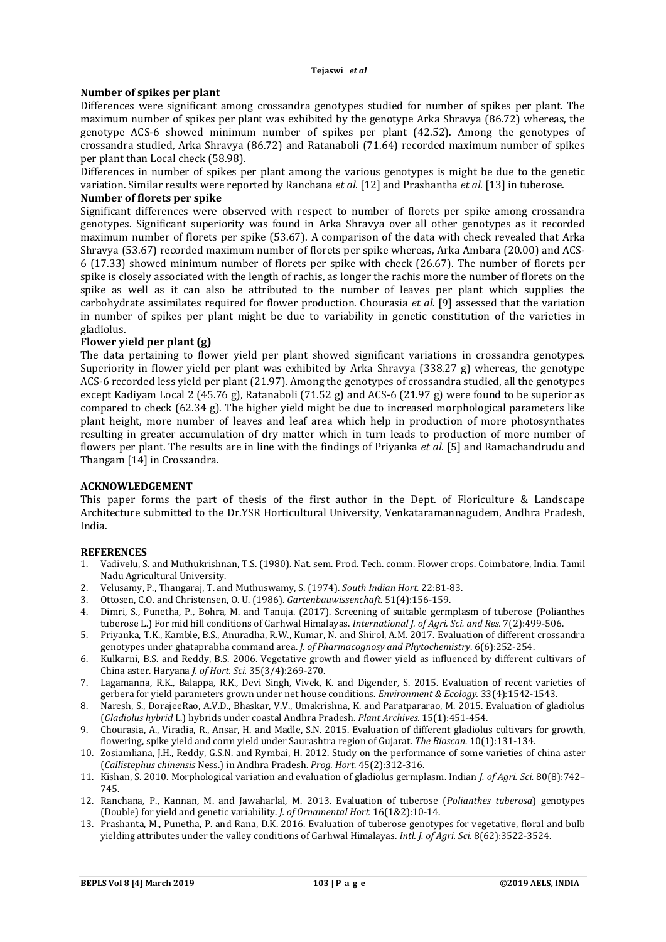#### **Number of spikes per plant**

Differences were significant among crossandra genotypes studied for number of spikes per plant. The maximum number of spikes per plant was exhibited by the genotype Arka Shravya (86.72) whereas, the genotype ACS-6 showed minimum number of spikes per plant (42.52). Among the genotypes of crossandra studied, Arka Shravya (86.72) and Ratanaboli (71.64) recorded maximum number of spikes per plant than Local check (58.98).

Differences in number of spikes per plant among the various genotypes is might be due to the genetic variation. Similar results were reported by Ranchana *et al.* [12] and Prashantha *et al.* [13] in tuberose. **Number of florets per spike**

Significant differences were observed with respect to number of florets per spike among crossandra genotypes. Significant superiority was found in Arka Shravya over all other genotypes as it recorded maximum number of florets per spike (53.67). A comparison of the data with check revealed that Arka Shravya (53.67) recorded maximum number of florets per spike whereas, Arka Ambara (20.00) and ACS-6 (17.33) showed minimum number of florets per spike with check (26.67). The number of florets per spike is closely associated with the length of rachis, as longer the rachis more the number of florets on the spike as well as it can also be attributed to the number of leaves per plant which supplies the carbohydrate assimilates required for flower production. Chourasia *et al.* [9] assessed that the variation in number of spikes per plant might be due to variability in genetic constitution of the varieties in gladiolus.

## **Flower yield per plant (g)**

The data pertaining to flower yield per plant showed significant variations in crossandra genotypes. Superiority in flower yield per plant was exhibited by Arka Shravya (338.27 g) whereas, the genotype ACS-6 recorded less yield per plant (21.97). Among the genotypes of crossandra studied, all the genotypes except Kadiyam Local 2 (45.76 g), Ratanaboli (71.52 g) and ACS-6 (21.97 g) were found to be superior as compared to check (62.34 g). The higher yield might be due to increased morphological parameters like plant height, more number of leaves and leaf area which help in production of more photosynthates resulting in greater accumulation of dry matter which in turn leads to production of more number of flowers per plant. The results are in line with the findings of Priyanka *et al.* [5] and Ramachandrudu and Thangam [14] in Crossandra.

#### **ACKNOWLEDGEMENT**

This paper forms the part of thesis of the first author in the Dept. of Floriculture & Landscape Architecture submitted to the Dr.YSR Horticultural University, Venkataramannagudem, Andhra Pradesh, India.

#### **REFERENCES**

- 1. Vadivelu, S. and Muthukrishnan, T.S. (1980). Nat. sem. Prod. Tech. comm. Flower crops. Coimbatore, India. Tamil Nadu Agricultural University.
- 2. Velusamy, P., Thangaraj, T. and Muthuswamy, S. (1974). *South Indian Hort.* 22:81-83.
- 3. Ottosen, C.O. and Christensen, O. U. (1986). *Gartenbauwissenchaft.* 51(4):156-159.
- 4. Dimri, S., Punetha, P., Bohra, M. and Tanuja. (2017). Screening of suitable germplasm of tuberose (Polianthes tuberose L.) For mid hill conditions of Garhwal Himalayas. *International J. of Agri. Sci. and Res.* 7(2):499-506.
- 5. Priyanka, T.K., Kamble, B.S., Anuradha, R.W., Kumar, N. and Shirol, A.M. 2017. Evaluation of different crossandra genotypes under ghataprabha command area. *J. of Pharmacognosy and Phytochemistry*. 6(6):252-254.
- 6. Kulkarni, B.S. and Reddy, B.S. 2006. Vegetative growth and flower yield as influenced by different cultivars of China aster. Haryana *J. of Hort. Sci.* 35(3/4):269-270.
- 7. Lagamanna, R.K., Balappa, R.K., Devi Singh, Vivek, K. and Digender, S. 2015. Evaluation of recent varieties of gerbera for yield parameters grown under net house conditions. *Environment & Ecology.* 33(4):1542-1543.
- 8. Naresh, S., DorajeeRao, A.V.D., Bhaskar, V.V., Umakrishna, K. and Paratpararao, M. 2015. Evaluation of gladiolus (*Gladiolus hybrid* L.) hybrids under coastal Andhra Pradesh. *Plant Archives.* 15(1):451-454.
- 9. Chourasia, A., Viradia, R., Ansar, H. and Madle, S.N. 2015. Evaluation of different gladiolus cultivars for growth, flowering, spike yield and corm yield under Saurashtra region of Gujarat. *The Bioscan.* 10(1):131-134.
- 10. Zosiamliana, J.H., Reddy, G.S.N. and Rymbai, H. 2012. Study on the performance of some varieties of china aster (*Callistephus chinensis* Ness.) in Andhra Pradesh. *Prog. Hort*. 45(2):312-316.
- 11. Kishan, S. 2010. Morphological variation and evaluation of gladiolus germplasm. Indian *J. of Agri. Sci.* 80(8):742– 745.
- 12. Ranchana, P., Kannan, M. and Jawaharlal, M. 2013. Evaluation of tuberose (*Polianthes tuberosa*) genotypes (Double) for yield and genetic variability. *J. of Ornamental Hort.* 16(1&2):10-14.
- 13. Prashanta, M., Punetha, P. and Rana, D.K. 2016. Evaluation of tuberose genotypes for vegetative, floral and bulb yielding attributes under the valley conditions of Garhwal Himalayas. *Intl. J. of Agri. Sci.* 8(62):3522-3524.